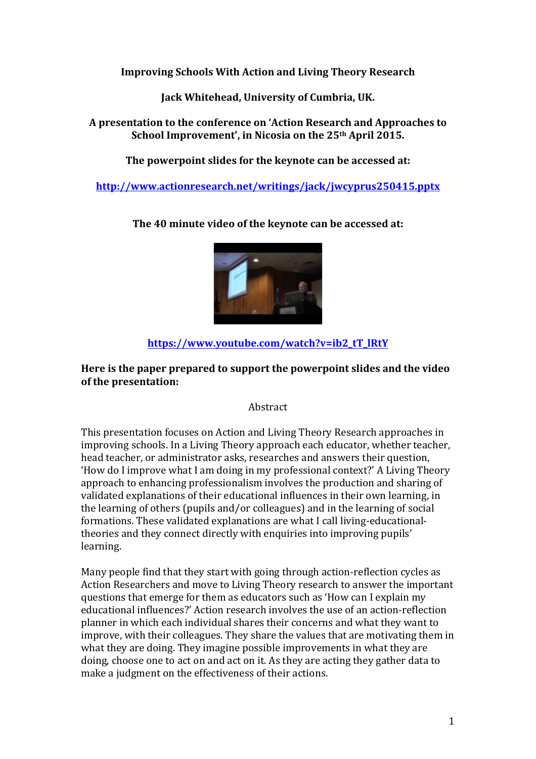**Improving Schools With Action and Living Theory Research** 

**Jack Whitehead, University of Cumbria, UK.** 

A presentation to the conference on 'Action Research and Approaches to **School Improvement', in Nicosia on the 25th April 2015.** 

The powerpoint slides for the keynote can be accessed at:

**http://www.actionresearch.net/writings/jack/jwcyprus250415.pptx**

The 40 minute video of the keynote can be accessed at:

# **https://www.youtube.com/watch?v=ib2\_tT\_lRtY**

## Here is the paper prepared to support the powerpoint slides and the video of the presentation:

### Abstract

This presentation focuses on Action and Living Theory Research approaches in improving schools. In a Living Theory approach each educator, whether teacher, head teacher, or administrator asks, researches and answers their question, 'How do I improve what I am doing in my professional context?' A Living Theory approach to enhancing professionalism involves the production and sharing of validated explanations of their educational influences in their own learning, in the learning of others (pupils and/or colleagues) and in the learning of social formations. These validated explanations are what I call living-educationaltheories and they connect directly with enquiries into improving pupils' learning. 

Many people find that they start with going through action-reflection cycles as Action Researchers and move to Living Theory research to answer the important questions that emerge for them as educators such as 'How can I explain my educational influences?' Action research involves the use of an action-reflection planner in which each individual shares their concerns and what they want to improve, with their colleagues. They share the values that are motivating them in what they are doing. They imagine possible improvements in what they are doing, choose one to act on and act on it. As they are acting they gather data to make a judgment on the effectiveness of their actions.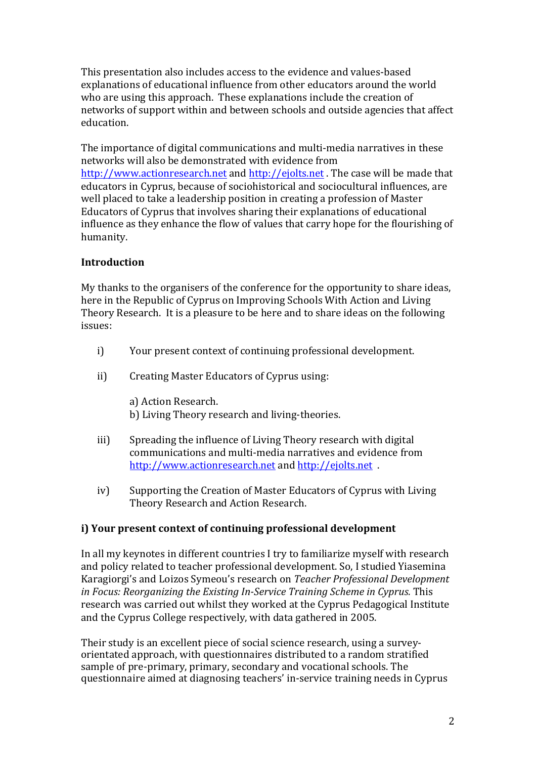This presentation also includes access to the evidence and values-based explanations of educational influence from other educators around the world who are using this approach. These explanations include the creation of networks of support within and between schools and outside agencies that affect education. 

The importance of digital communications and multi-media narratives in these networks will also be demonstrated with evidence from http://www.actionresearch.net and http://ejolts.net . The case will be made that educators in Cyprus, because of sociohistorical and sociocultural influences, are well placed to take a leadership position in creating a profession of Master Educators of Cyprus that involves sharing their explanations of educational influence as they enhance the flow of values that carry hope for the flourishing of humanity.

# **Introduction**

My thanks to the organisers of the conference for the opportunity to share ideas, here in the Republic of Cyprus on Improving Schools With Action and Living Theory Research. It is a pleasure to be here and to share ideas on the following issues:

- i) Your present context of continuing professional development.
- ii) Creating Master Educators of Cyprus using:

a) Action Research. b) Living Theory research and living-theories.

- iii) Spreading the influence of Living Theory research with digital communications and multi-media narratives and evidence from http://www.actionresearch.net and http://ejolts.net .
- iv) Supporting the Creation of Master Educators of Cyprus with Living Theory Research and Action Research.

### **i)** Your present context of continuing professional development

In all my keynotes in different countries I try to familiarize myself with research and policy related to teacher professional development. So, I studied Yiasemina Karagiorgi's and Loizos Symeou's research on *Teacher Professional Development in Focus: Reorganizing the Existing In-Service Training Scheme in Cyprus.* This research was carried out whilst they worked at the Cyprus Pedagogical Institute and the Cyprus College respectively, with data gathered in 2005.

Their study is an excellent piece of social science research, using a surveyorientated approach, with questionnaires distributed to a random stratified sample of pre-primary, primary, secondary and vocational schools. The questionnaire aimed at diagnosing teachers' in-service training needs in Cyprus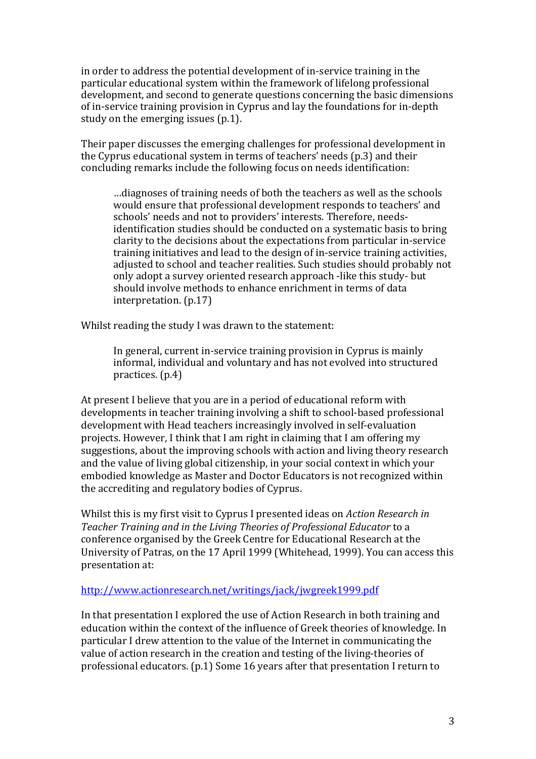in order to address the potential development of in-service training in the particular educational system within the framework of lifelong professional development, and second to generate questions concerning the basic dimensions of in-service training provision in Cyprus and lay the foundations for in-depth study on the emerging issues  $(p.1)$ .

Their paper discusses the emerging challenges for professional development in the Cyprus educational system in terms of teachers' needs (p.3) and their concluding remarks include the following focus on needs identification:

...diagnoses of training needs of both the teachers as well as the schools would ensure that professional development responds to teachers' and schools' needs and not to providers' interests. Therefore, needsidentification studies should be conducted on a systematic basis to bring clarity to the decisions about the expectations from particular in-service training initiatives and lead to the design of in-service training activities, adjusted to school and teacher realities. Such studies should probably not only adopt a survey oriented research approach -like this study- but should involve methods to enhance enrichment in terms of data interpretation. (p.17)

Whilst reading the study I was drawn to the statement:

In general, current in-service training provision in Cyprus is mainly informal, individual and voluntary and has not evolved into structured practices.  $(p.4)$ 

At present I believe that you are in a period of educational reform with developments in teacher training involving a shift to school-based professional development with Head teachers increasingly involved in self-evaluation projects. However, I think that I am right in claiming that I am offering my suggestions, about the improving schools with action and living theory research and the value of living global citizenship, in your social context in which your embodied knowledge as Master and Doctor Educators is not recognized within the accrediting and regulatory bodies of Cyprus.

Whilst this is my first visit to Cyprus I presented ideas on *Action Research in Teacher Training and in the Living Theories of Professional Educator* to a conference organised by the Greek Centre for Educational Research at the University of Patras, on the 17 April 1999 (Whitehead, 1999). You can access this presentation at:

### http://www.actionresearch.net/writings/jack/jwgreek1999.pdf

In that presentation I explored the use of Action Research in both training and education within the context of the influence of Greek theories of knowledge. In particular I drew attention to the value of the Internet in communicating the value of action research in the creation and testing of the living-theories of professional educators.  $(p.1)$  Some 16 years after that presentation I return to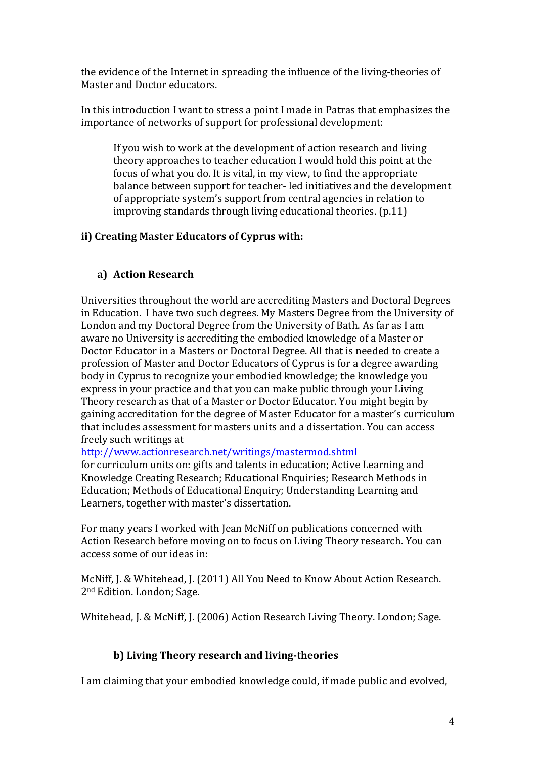the evidence of the Internet in spreading the influence of the living-theories of Master and Doctor educators.

In this introduction I want to stress a point I made in Patras that emphasizes the importance of networks of support for professional development:

If you wish to work at the development of action research and living theory approaches to teacher education I would hold this point at the focus of what you do. It is vital, in my view, to find the appropriate balance between support for teacher- led initiatives and the development of appropriate system's support from central agencies in relation to improving standards through living educational theories.  $(p.11)$ 

# **ii) Creating Master Educators of Cyprus with:**

# **a) Action Research**

Universities throughout the world are accrediting Masters and Doctoral Degrees in Education. I have two such degrees. My Masters Degree from the University of London and my Doctoral Degree from the University of Bath. As far as I am aware no University is accrediting the embodied knowledge of a Master or Doctor Educator in a Masters or Doctoral Degree. All that is needed to create a profession of Master and Doctor Educators of Cyprus is for a degree awarding body in Cyprus to recognize your embodied knowledge; the knowledge you express in your practice and that you can make public through your Living Theory research as that of a Master or Doctor Educator. You might begin by gaining accreditation for the degree of Master Educator for a master's curriculum that includes assessment for masters units and a dissertation. You can access freely such writings at

http://www.actionresearch.net/writings/mastermod.shtml

for curriculum units on: gifts and talents in education; Active Learning and Knowledge Creating Research; Educational Enquiries; Research Methods in Education; Methods of Educational Enquiry; Understanding Learning and Learners, together with master's dissertation.

For many years I worked with Jean McNiff on publications concerned with Action Research before moving on to focus on Living Theory research. You can access some of our ideas in:

McNiff, J. & Whitehead, J. (2011) All You Need to Know About Action Research. 2<sup>nd</sup> Edition. London; Sage.

Whitehead, I. & McNiff, I. (2006) Action Research Living Theory. London: Sage.

# **b) Living Theory research and living-theories**

I am claiming that your embodied knowledge could, if made public and evolved,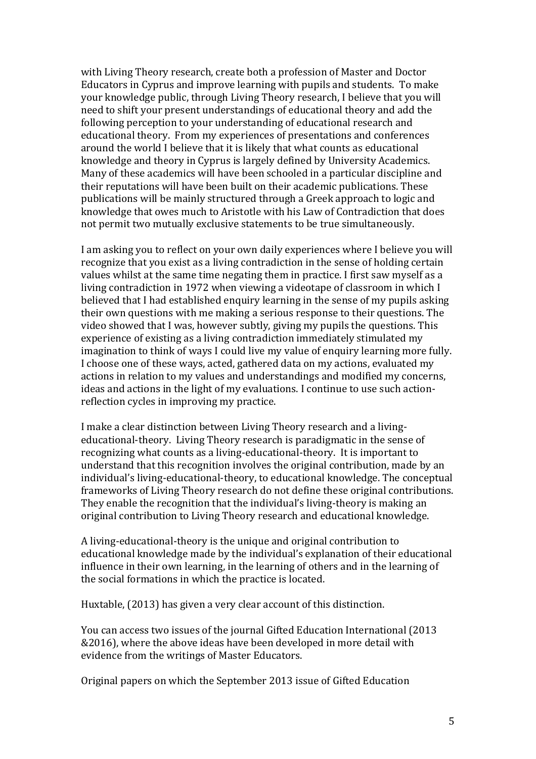with Living Theory research, create both a profession of Master and Doctor Educators in Cyprus and improve learning with pupils and students. To make your knowledge public, through Living Theory research, I believe that you will need to shift your present understandings of educational theory and add the following perception to your understanding of educational research and educational theory. From my experiences of presentations and conferences around the world I believe that it is likely that what counts as educational knowledge and theory in Cyprus is largely defined by University Academics. Many of these academics will have been schooled in a particular discipline and their reputations will have been built on their academic publications. These publications will be mainly structured through a Greek approach to logic and knowledge that owes much to Aristotle with his Law of Contradiction that does not permit two mutually exclusive statements to be true simultaneously.

I am asking you to reflect on your own daily experiences where I believe you will recognize that you exist as a living contradiction in the sense of holding certain values whilst at the same time negating them in practice. I first saw myself as a living contradiction in 1972 when viewing a videotape of classroom in which I believed that I had established enquiry learning in the sense of my pupils asking their own questions with me making a serious response to their questions. The video showed that I was, however subtly, giving my pupils the questions. This experience of existing as a living contradiction immediately stimulated my imagination to think of ways I could live my value of enquiry learning more fully. I choose one of these ways, acted, gathered data on my actions, evaluated my actions in relation to my values and understandings and modified my concerns, ideas and actions in the light of my evaluations. I continue to use such actionreflection cycles in improving my practice.

I make a clear distinction between Living Theory research and a livingeducational-theory. Living Theory research is paradigmatic in the sense of recognizing what counts as a living-educational-theory. It is important to understand that this recognition involves the original contribution, made by an individual's living-educational-theory, to educational knowledge. The conceptual frameworks of Living Theory research do not define these original contributions. They enable the recognition that the individual's living-theory is making an original contribution to Living Theory research and educational knowledge.

A living-educational-theory is the unique and original contribution to educational knowledge made by the individual's explanation of their educational influence in their own learning, in the learning of others and in the learning of the social formations in which the practice is located.

Huxtable, (2013) has given a very clear account of this distinction.

You can access two issues of the journal Gifted Education International (2013) &2016), where the above ideas have been developed in more detail with evidence from the writings of Master Educators.

Original papers on which the September 2013 issue of Gifted Education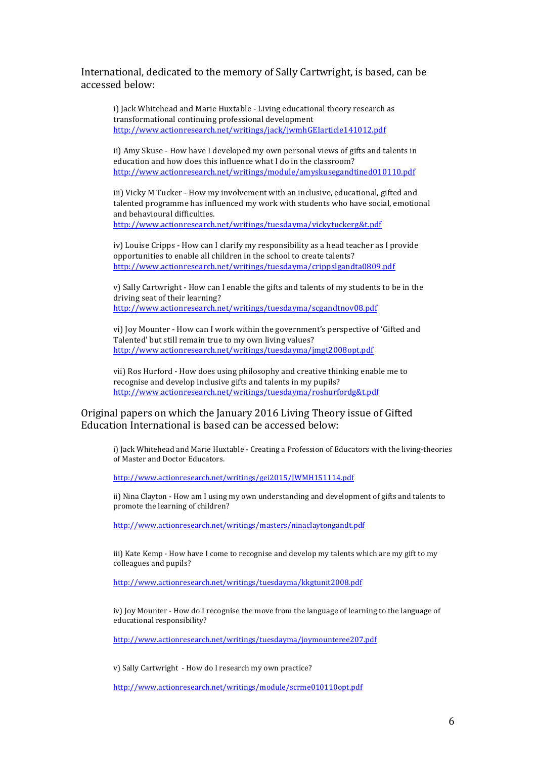International, dedicated to the memory of Sally Cartwright, is based, can be accessed below:

i) Jack Whitehead and Marie Huxtable - Living educational theory research as transformational continuing professional development http://www.actionresearch.net/writings/jack/jwmhGEIarticle141012.pdf 

ii) Amy Skuse - How have I developed my own personal views of gifts and talents in education and how does this influence what I do in the classroom? http://www.actionresearch.net/writings/module/amyskusegandtined010110.pdf

iii) Vicky M Tucker - How my involvement with an inclusive, educational, gifted and talented programme has influenced my work with students who have social, emotional and behavioural difficulties.

http://www.actionresearch.net/writings/tuesdayma/vickytuckerg&t.pdf

iv) Louise Cripps - How can I clarify my responsibility as a head teacher as I provide opportunities to enable all children in the school to create talents? http://www.actionresearch.net/writings/tuesdayma/crippslgandta0809.pdf

v) Sally Cartwright - How can I enable the gifts and talents of my students to be in the driving seat of their learning? http://www.actionresearch.net/writings/tuesdayma/scgandtnov08.pdf

vi) Ioy Mounter - How can I work within the government's perspective of 'Gifted and Talented' but still remain true to my own living values? http://www.actionresearch.net/writings/tuesdayma/jmgt2008opt.pdf

vii) Ros Hurford - How does using philosophy and creative thinking enable me to recognise and develop inclusive gifts and talents in my pupils? http://www.actionresearch.net/writings/tuesdayma/roshurfordg&t.pdf

#### Original papers on which the January 2016 Living Theory issue of Gifted Education International is based can be accessed below:

i) Jack Whitehead and Marie Huxtable - Creating a Profession of Educators with the living-theories of Master and Doctor Educators.

http://www.actionresearch.net/writings/gei2015/JWMH151114.pdf

ii) Nina Clayton - How am I using my own understanding and development of gifts and talents to promote the learning of children?

http://www.actionresearch.net/writings/masters/ninaclaytongandt.pdf

iii) Kate Kemp - How have I come to recognise and develop my talents which are my gift to my colleagues and pupils?

http://www.actionresearch.net/writings/tuesdayma/kkgtunit2008.pdf

iv) Joy Mounter - How do I recognise the move from the language of learning to the language of educational responsibility?

http://www.actionresearch.net/writings/tuesdayma/joymounteree207.pdf

v) Sally Cartwright - How do I research my own practice?

http://www.actionresearch.net/writings/module/scrme010110opt.pdf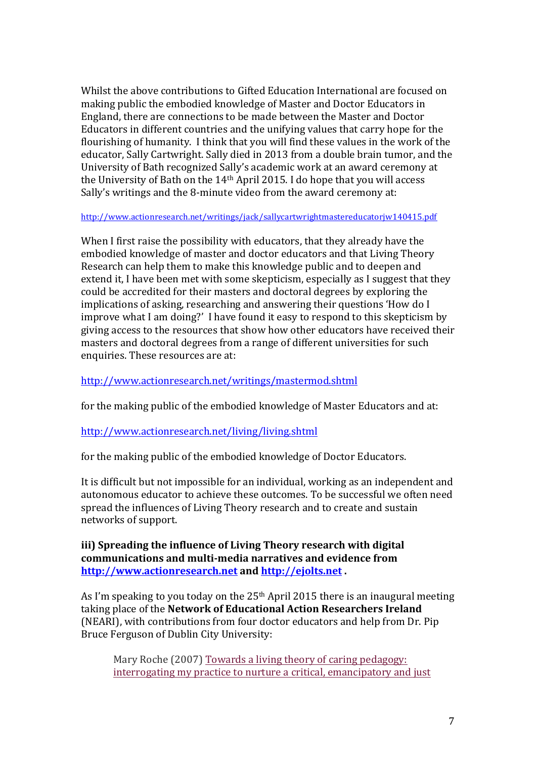Whilst the above contributions to Gifted Education International are focused on making public the embodied knowledge of Master and Doctor Educators in England, there are connections to be made between the Master and Doctor Educators in different countries and the unifying values that carry hope for the flourishing of humanity. I think that you will find these values in the work of the educator, Sally Cartwright. Sally died in 2013 from a double brain tumor, and the University of Bath recognized Sally's academic work at an award ceremony at the University of Bath on the  $14<sup>th</sup>$  April 2015. I do hope that you will access Sally's writings and the 8-minute video from the award ceremony at:

http://www.actionresearch.net/writings/jack/sallycartwrightmastereducatorjw140415.pdf

When I first raise the possibility with educators, that they already have the embodied knowledge of master and doctor educators and that Living Theory Research can help them to make this knowledge public and to deepen and extend it, I have been met with some skepticism, especially as I suggest that they could be accredited for their masters and doctoral degrees by exploring the implications of asking, researching and answering their questions 'How do I improve what I am doing?' I have found it easy to respond to this skepticism by giving access to the resources that show how other educators have received their masters and doctoral degrees from a range of different universities for such enquiries. These resources are at:

http://www.actionresearch.net/writings/mastermod.shtml

for the making public of the embodied knowledge of Master Educators and at:

### http://www.actionresearch.net/living/living.shtml

for the making public of the embodied knowledge of Doctor Educators.

It is difficult but not impossible for an individual, working as an independent and autonomous educator to achieve these outcomes. To be successful we often need spread the influences of Living Theory research and to create and sustain networks of support.

**iii)** Spreading the influence of Living Theory research with digital communications and multi-media narratives and evidence from **http://www.actionresearch.net and http://ejolts.net .** 

As I'm speaking to you today on the  $25<sup>th</sup>$  April 2015 there is an inaugural meeting taking place of the **Network of Educational Action Researchers Ireland** (NEARI), with contributions from four doctor educators and help from Dr. Pip Bruce Ferguson of Dublin City University:

Mary Roche (2007) Towards a living theory of caring pedagogy: interrogating my practice to nurture a critical, emancipatory and just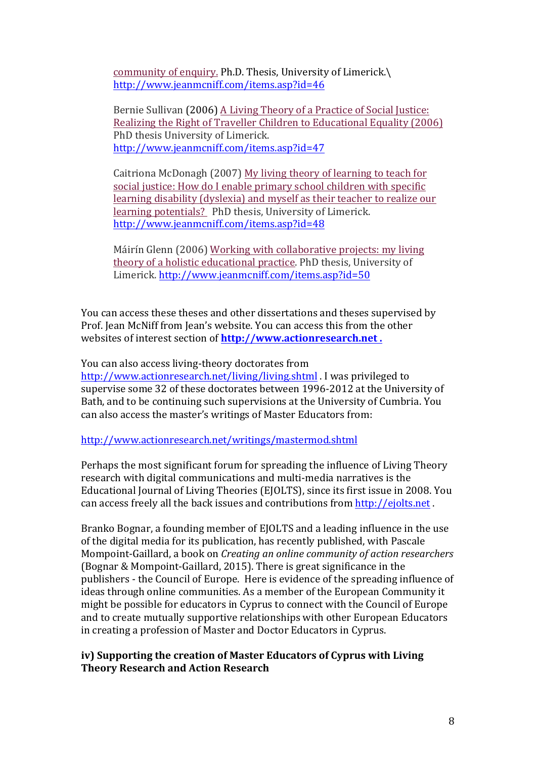community of enquiry. Ph.D. Thesis, University of Limerick.\ http://www.jeanmcniff.com/items.asp?id=46

Bernie Sullivan (2006) A Living Theory of a Practice of Social Justice: Realizing the Right of Traveller Children to Educational Equality (2006) PhD thesis University of Limerick. http://www.jeanmcniff.com/items.asp?id=47

Caitriona McDonagh (2007) My living theory of learning to teach for social justice: How do I enable primary school children with specific learning disability (dyslexia) and myself as their teacher to realize our learning potentials? PhD thesis, University of Limerick. http://www.jeanmcniff.com/items.asp?id=48

Máirín Glenn (2006) Working with collaborative projects: my living theory of a holistic educational practice. PhD thesis, University of Limerick. http://www.jeanmcniff.com/items.asp?id=50

You can access these theses and other dissertations and theses supervised by Prof. Jean McNiff from Jean's website. You can access this from the other websites of interest section of **http://www.actionresearch.net** .

You can also access living-theory doctorates from

http://www.actionresearch.net/living/living.shtml . I was privileged to supervise some 32 of these doctorates between 1996-2012 at the University of Bath, and to be continuing such supervisions at the University of Cumbria. You can also access the master's writings of Master Educators from:

http://www.actionresearch.net/writings/mastermod.shtml

Perhaps the most significant forum for spreading the influence of Living Theory research with digital communications and multi-media narratives is the Educational Journal of Living Theories (EJOLTS), since its first issue in 2008. You can access freely all the back issues and contributions from http://ejolts.net.

Branko Bognar, a founding member of EJOLTS and a leading influence in the use of the digital media for its publication, has recently published, with Pascale Mompoint-Gaillard, a book on *Creating an online community of action researchers* (Bognar & Mompoint-Gaillard, 2015). There is great significance in the publishers - the Council of Europe. Here is evidence of the spreading influence of ideas through online communities. As a member of the European Community it might be possible for educators in Cyprus to connect with the Council of Europe and to create mutually supportive relationships with other European Educators in creating a profession of Master and Doctor Educators in Cyprus.

### **iv) Supporting the creation of Master Educators of Cyprus with Living Theory Research and Action Research**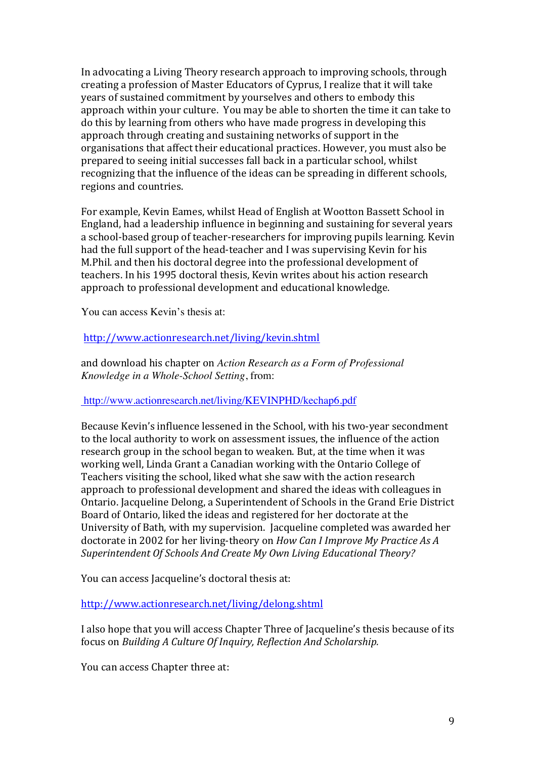In advocating a Living Theory research approach to improving schools, through creating a profession of Master Educators of Cyprus, I realize that it will take years of sustained commitment by vourselves and others to embody this approach within your culture. You may be able to shorten the time it can take to do this by learning from others who have made progress in developing this approach through creating and sustaining networks of support in the organisations that affect their educational practices. However, you must also be prepared to seeing initial successes fall back in a particular school, whilst recognizing that the influence of the ideas can be spreading in different schools, regions and countries.

For example, Kevin Eames, whilst Head of English at Wootton Bassett School in England, had a leadership influence in beginning and sustaining for several years a school-based group of teacher-researchers for improving pupils learning. Kevin had the full support of the head-teacher and I was supervising Kevin for his M.Phil. and then his doctoral degree into the professional development of teachers. In his 1995 doctoral thesis, Kevin writes about his action research approach to professional development and educational knowledge.

You can access Kevin's thesis at:

#### http://www.actionresearch.net/living/kevin.shtml

and download his chapter on *Action Research as a Form of Professional Knowledge in a Whole-School Setting*, from:

#### http://www.actionresearch.net/living/KEVINPHD/kechap6.pdf

Because Kevin's influence lessened in the School, with his two-year secondment to the local authority to work on assessment issues, the influence of the action research group in the school began to weaken. But, at the time when it was working well, Linda Grant a Canadian working with the Ontario College of Teachers visiting the school, liked what she saw with the action research approach to professional development and shared the ideas with colleagues in Ontario. Jacqueline Delong, a Superintendent of Schools in the Grand Erie District Board of Ontario, liked the ideas and registered for her doctorate at the University of Bath, with my supervision. Jacqueline completed was awarded her doctorate in 2002 for her living-theory on *How Can I Improve My Practice As A Superintendent Of Schools And Create My Own Living Educational Theory?*

You can access Jacqueline's doctoral thesis at:

http://www.actionresearch.net/living/delong.shtml

I also hope that you will access Chapter Three of Jacqueline's thesis because of its focus on *Building A Culture Of Inquiry, Reflection And Scholarship.* 

You can access Chapter three at: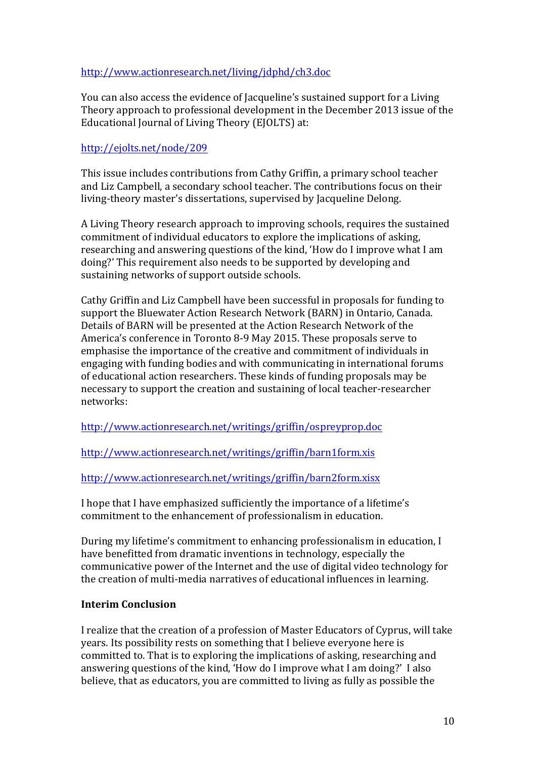## http://www.actionresearch.net/living/jdphd/ch3.doc

You can also access the evidence of Jacqueline's sustained support for a Living Theory approach to professional development in the December 2013 issue of the Educational Journal of Living Theory (EJOLTS) at:

## http://ejolts.net/node/209

This issue includes contributions from Cathy Griffin, a primary school teacher and Liz Campbell, a secondary school teacher. The contributions focus on their living-theory master's dissertations, supervised by Jacqueline Delong.

A Living Theory research approach to improving schools, requires the sustained commitment of individual educators to explore the implications of asking, researching and answering questions of the kind, 'How do I improve what I am doing?' This requirement also needs to be supported by developing and sustaining networks of support outside schools.

Cathy Griffin and Liz Campbell have been successful in proposals for funding to support the Bluewater Action Research Network (BARN) in Ontario, Canada. Details of BARN will be presented at the Action Research Network of the America's conference in Toronto 8-9 May 2015. These proposals serve to emphasise the importance of the creative and commitment of individuals in engaging with funding bodies and with communicating in international forums of educational action researchers. These kinds of funding proposals may be necessary to support the creation and sustaining of local teacher-researcher networks:

http://www.actionresearch.net/writings/griffin/ospreyprop.doc

http://www.actionresearch.net/writings/griffin/barn1form.xis

# http://www.actionresearch.net/writings/griffin/barn2form.xisx

I hope that I have emphasized sufficiently the importance of a lifetime's commitment to the enhancement of professionalism in education.

During my lifetime's commitment to enhancing professionalism in education, I have benefitted from dramatic inventions in technology, especially the communicative power of the Internet and the use of digital video technology for the creation of multi-media narratives of educational influences in learning.

### **Interim Conclusion**

I realize that the creation of a profession of Master Educators of Cyprus, will take years. Its possibility rests on something that I believe everyone here is committed to. That is to exploring the implications of asking, researching and answering questions of the kind, 'How do I improve what I am doing?' I also believe, that as educators, you are committed to living as fully as possible the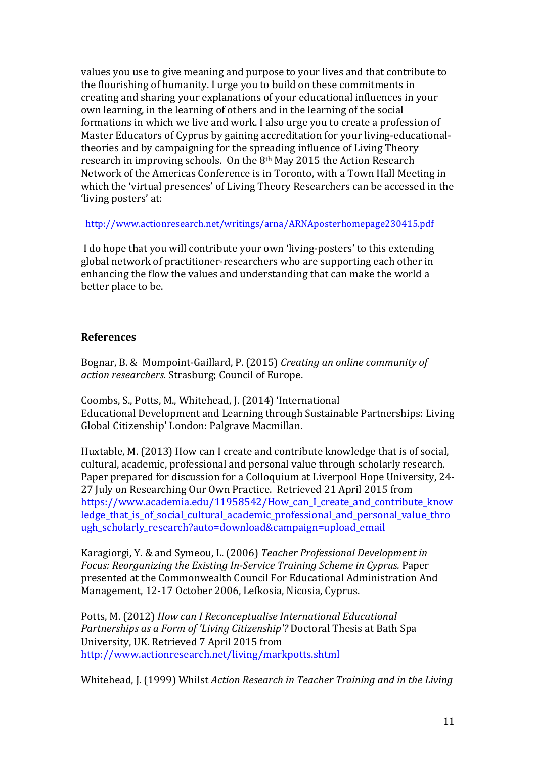values you use to give meaning and purpose to your lives and that contribute to the flourishing of humanity. I urge you to build on these commitments in creating and sharing your explanations of your educational influences in your own learning, in the learning of others and in the learning of the social formations in which we live and work. I also urge you to create a profession of Master Educators of Cyprus by gaining accreditation for your living-educationaltheories and by campaigning for the spreading influence of Living Theory research in improving schools. On the  $8<sup>th</sup>$  May 2015 the Action Research Network of the Americas Conference is in Toronto, with a Town Hall Meeting in which the 'virtual presences' of Living Theory Researchers can be accessed in the 'living posters' at:

 http://www.actionresearch.net/writings/arna/ARNAposterhomepage230415.pdf

I do hope that you will contribute your own 'living-posters' to this extending global network of practitioner-researchers who are supporting each other in enhancing the flow the values and understanding that can make the world a better place to be.

#### **References**

Bognar, B. & Mompoint-Gaillard, P. (2015) *Creating an online community of action researchers.* Strasburg; Council of Europe.

Coombs, S., Potts, M., Whitehead, J. (2014) 'International Educational Development and Learning through Sustainable Partnerships: Living Global Citizenship' London: Palgrave Macmillan.

Huxtable, M. (2013) How can I create and contribute knowledge that is of social, cultural, academic, professional and personal value through scholarly research. Paper prepared for discussion for a Colloquium at Liverpool Hope University, 24-27 July on Researching Our Own Practice. Retrieved 21 April 2015 from https://www.academia.edu/11958542/How\_can\_I\_create\_and\_contribute\_know ledge\_that\_is\_of\_social\_cultural\_academic\_professional\_and\_personal\_value\_thro ugh scholarly research?auto=download&campaign=upload email

Karagiorgi, Y. & and Symeou, L. (2006) *Teacher Professional Development in Focus: Reorganizing the Existing In-Service Training Scheme in Cyprus. Paper* presented at the Commonwealth Council For Educational Administration And Management, 12-17 October 2006, Lefkosia, Nicosia, Cyprus.

Potts, M. (2012) *How can I Reconceptualise International Educational Partnerships as a Form of 'Living Citizenship'?* Doctoral Thesis at Bath Spa University, UK. Retrieved 7 April 2015 from http://www.actionresearch.net/living/markpotts.shtml

Whitehead, J. (1999) Whilst *Action Research in Teacher Training and in the Living*